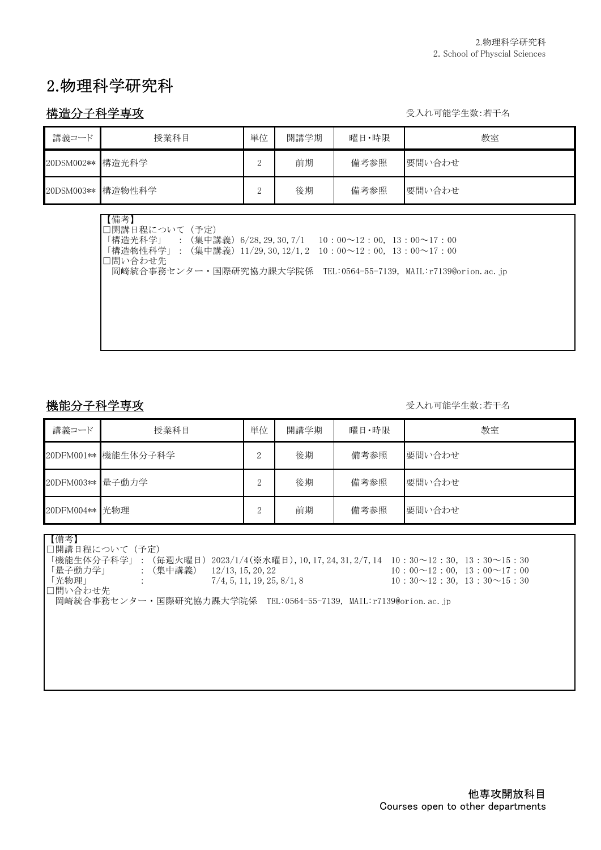# 2.物理科学研究科

### 構造分子科学専攻 ファイン アイスト アイスト おおところ かいしゃ ラスれ可能学生数:若干名

| 講義コード      | 授業科目              | 単位 | 開講学期 | 曜日・時限 | 教室     |
|------------|-------------------|----|------|-------|--------|
| 20DSM002** | 構造光科学             | ↩  | 前期   | 備考参照  | 要問い合わせ |
|            | 20DSM003** 構造物性科学 | ↩  | 後期   | 備考参照  | 要問い合わせ |

【備考】 □開講日程について(予定) 「構造光科学」 :(集中講義)6/28,29,30,7/1 10:00~12:00, 13:00~17:00 「構造物性科学」:(集中講義)11/29,30,12/1,2 10:00~12:00, 13:00~17:00 □問い合わせ先 岡崎統合事務センター・国際研究協力課大学院係 TEL:0564-55-7139, MAIL:r7139@orion.ac.jp

#### 機能分子科学専攻 ファイン アイスト しゅうしゃ かいしゃ かいしゃ かいしゅう 受入れ可能学生数:若干名

| 講義コード            | 授業科目                | 単位            | 開講学期 | 曜日・時限 | 教室     |
|------------------|---------------------|---------------|------|-------|--------|
|                  | 20DFM001** 機能生体分子科学 | $\Omega$<br>↩ | 後期   | 備考参照  | 要問い合わせ |
| 20DFM003** 量子動力学 |                     | $\Omega$<br>↵ | 後期   | 備考参照  | 要問い合わせ |
| 20DFM004** 光物理   |                     | ŋ<br>↵        | 前期   | 備考参照  | 要問い合わせ |

【備考】

□開講日程について(予定)

「機能生体分子科学」:(毎週火曜日)2023/1/4(※水曜日),10,17,24,31,2/7,14 10:30~12:30,13:30~15:30

「量子動力学」 :(集中講義) 12/13,15,20,22 10:00~12:00, 13:00~17:00  $\begin{array}{ccc} \n \begin{array}{ccc} \n 1.30 \rightarrow 12 \\ \n 1.30 \rightarrow 12.30 \rightarrow 15.30 \n \end{array} \n \end{array}$ 

□問い合わせ先

岡崎統合事務センター・国際研究協力課大学院係 TEL:0564-55-7139, MAIL:r7139@orion.ac.jp